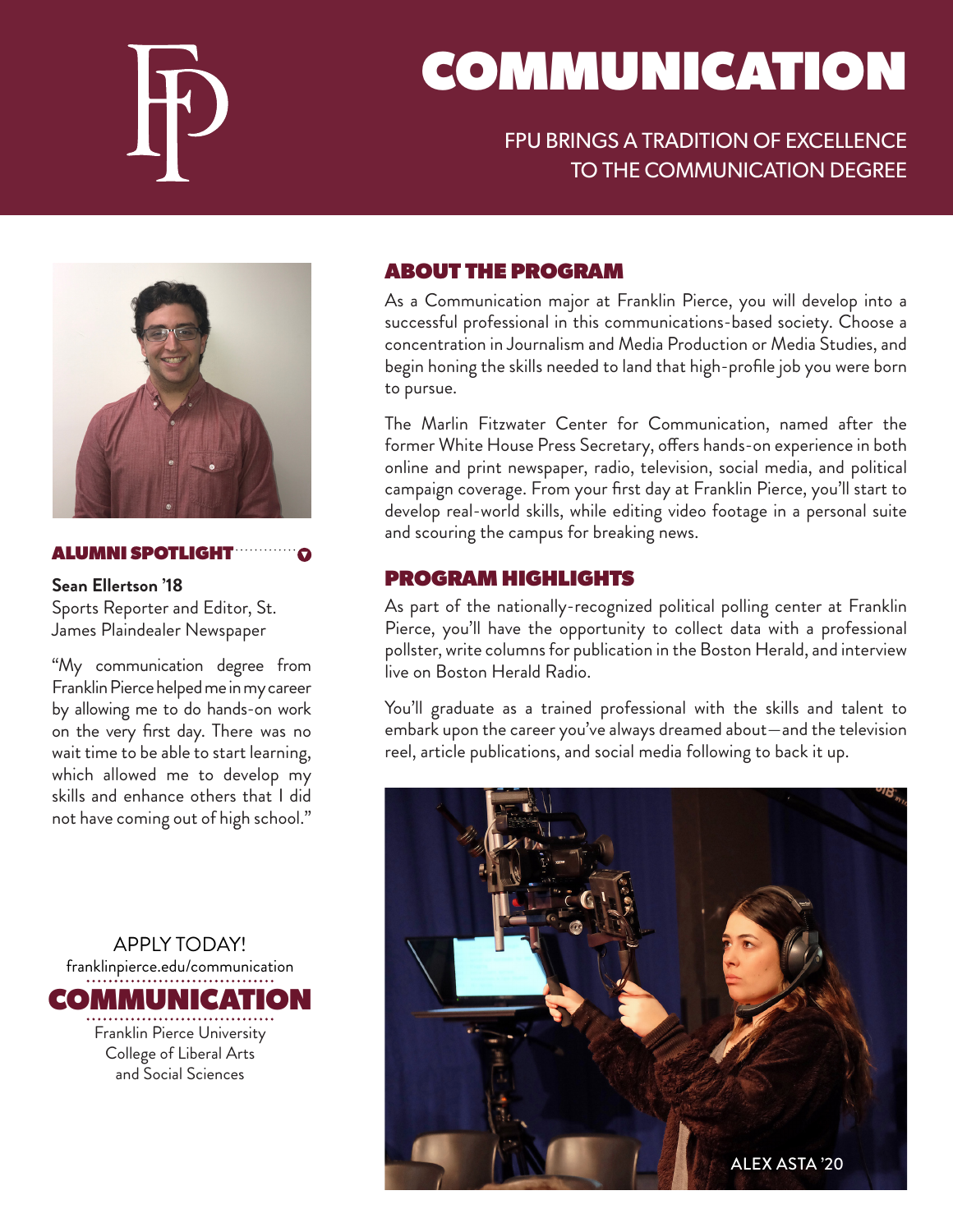

# COMMUNICATION

## FPU BRINGS A TRADITION OF EXCELLENCE TO THE COMMUNICATION DEGREE



#### ALUMNI SPOTLIGHT

**Sean Ellertson '18**

Sports Reporter and Editor, St. James Plaindealer Newspaper

"My communication degree from Franklin Pierce helped me in my career by allowing me to do hands-on work on the very first day. There was no wait time to be able to start learning, which allowed me to develop my skills and enhance others that I did not have coming out of high school."

APPLY TODAY! franklinpierce.edu/communication COMMUNICATION Franklin Pierce University College of Liberal Arts and Social Sciences

#### ABOUT THE PROGRAM

As a Communication major at Franklin Pierce, you will develop into a successful professional in this communications-based society. Choose a concentration in Journalism and Media Production or Media Studies, and begin honing the skills needed to land that high-profile job you were born to pursue.

The Marlin Fitzwater Center for Communication, named after the former White House Press Secretary, offers hands-on experience in both online and print newspaper, radio, television, social media, and political campaign coverage. From your first day at Franklin Pierce, you'll start to develop real-world skills, while editing video footage in a personal suite and scouring the campus for breaking news.

#### PROGRAM HIGHLIGHTS

As part of the nationally-recognized political polling center at Franklin Pierce, you'll have the opportunity to collect data with a professional pollster, write columns for publication in the Boston Herald, and interview live on Boston Herald Radio.

You'll graduate as a trained professional with the skills and talent to embark upon the career you've always dreamed about—and the television reel, article publications, and social media following to back it up.